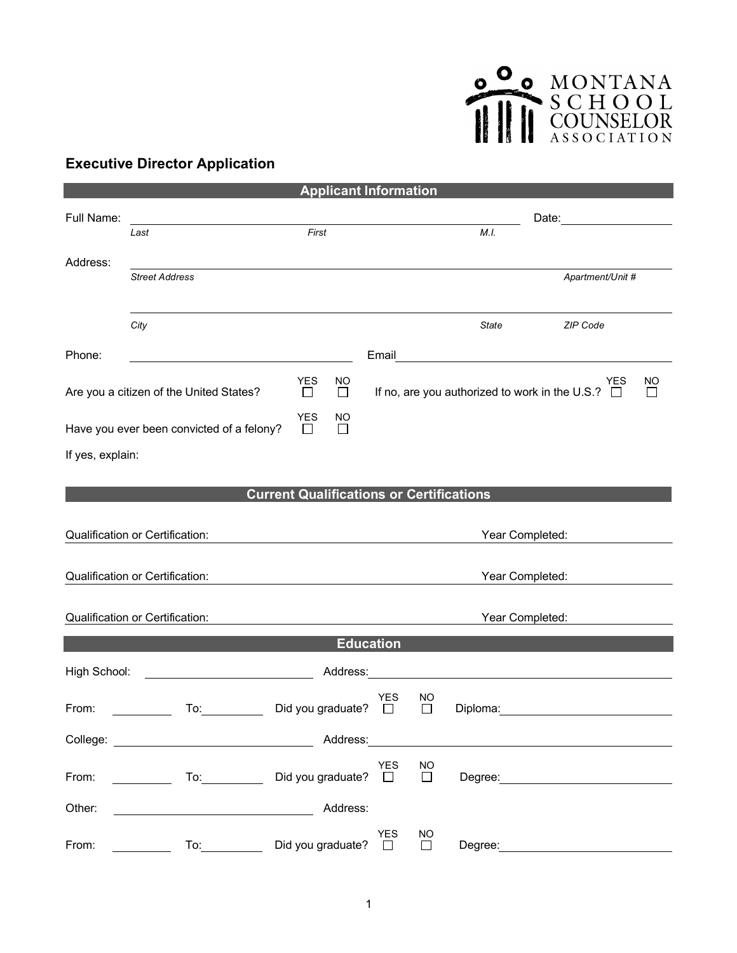## O MONTANA

## **Executive Director Application**

| <b>Applicant Information</b>                                                                                                                                                                                                   |                                                                                                                                                                                                                                |                             |              |                  |                     |                                                                                                                                                                                                                                |                                                                                                                                                                                                                                |                           |  |  |  |
|--------------------------------------------------------------------------------------------------------------------------------------------------------------------------------------------------------------------------------|--------------------------------------------------------------------------------------------------------------------------------------------------------------------------------------------------------------------------------|-----------------------------|--------------|------------------|---------------------|--------------------------------------------------------------------------------------------------------------------------------------------------------------------------------------------------------------------------------|--------------------------------------------------------------------------------------------------------------------------------------------------------------------------------------------------------------------------------|---------------------------|--|--|--|
| Full Name:                                                                                                                                                                                                                     |                                                                                                                                                                                                                                |                             |              |                  |                     |                                                                                                                                                                                                                                |                                                                                                                                                                                                                                |                           |  |  |  |
|                                                                                                                                                                                                                                | First<br>Last                                                                                                                                                                                                                  |                             |              | M.I.             |                     |                                                                                                                                                                                                                                |                                                                                                                                                                                                                                |                           |  |  |  |
| Address:                                                                                                                                                                                                                       |                                                                                                                                                                                                                                |                             |              |                  |                     |                                                                                                                                                                                                                                |                                                                                                                                                                                                                                |                           |  |  |  |
|                                                                                                                                                                                                                                | <b>Street Address</b>                                                                                                                                                                                                          |                             |              |                  |                     |                                                                                                                                                                                                                                | Apartment/Unit #                                                                                                                                                                                                               |                           |  |  |  |
|                                                                                                                                                                                                                                |                                                                                                                                                                                                                                |                             |              |                  |                     |                                                                                                                                                                                                                                |                                                                                                                                                                                                                                |                           |  |  |  |
|                                                                                                                                                                                                                                | City                                                                                                                                                                                                                           |                             |              |                  |                     | State                                                                                                                                                                                                                          | ZIP Code                                                                                                                                                                                                                       |                           |  |  |  |
| Phone:                                                                                                                                                                                                                         |                                                                                                                                                                                                                                |                             |              |                  |                     |                                                                                                                                                                                                                                | Email Property of the Commission of the Commission of the Commission of the Commission of the Commission of the Commission of the Commission of the Commission of the Commission of the Commission of the Commission of the Co |                           |  |  |  |
|                                                                                                                                                                                                                                | Are you a citizen of the United States?                                                                                                                                                                                        | <b>YES</b><br>$\Box$        | NO<br>$\Box$ |                  |                     | If no, are you authorized to work in the U.S.? $\Box$                                                                                                                                                                          | YES                                                                                                                                                                                                                            | <b>NO</b><br>$\mathsf{L}$ |  |  |  |
| <b>YES</b><br>Have you ever been convicted of a felony?<br>$\Box$<br>$\Box$                                                                                                                                                    |                                                                                                                                                                                                                                |                             | ΝO           |                  |                     |                                                                                                                                                                                                                                |                                                                                                                                                                                                                                |                           |  |  |  |
| If yes, explain:                                                                                                                                                                                                               |                                                                                                                                                                                                                                |                             |              |                  |                     |                                                                                                                                                                                                                                |                                                                                                                                                                                                                                |                           |  |  |  |
|                                                                                                                                                                                                                                |                                                                                                                                                                                                                                |                             |              |                  |                     |                                                                                                                                                                                                                                |                                                                                                                                                                                                                                |                           |  |  |  |
| <b>Current Qualifications or Certifications</b>                                                                                                                                                                                |                                                                                                                                                                                                                                |                             |              |                  |                     |                                                                                                                                                                                                                                |                                                                                                                                                                                                                                |                           |  |  |  |
| Qualification or Certification:<br>Year Completed:                                                                                                                                                                             |                                                                                                                                                                                                                                |                             |              |                  |                     |                                                                                                                                                                                                                                |                                                                                                                                                                                                                                |                           |  |  |  |
| Qualification or Certification:                                                                                                                                                                                                |                                                                                                                                                                                                                                |                             |              |                  | Year Completed:     |                                                                                                                                                                                                                                |                                                                                                                                                                                                                                |                           |  |  |  |
|                                                                                                                                                                                                                                |                                                                                                                                                                                                                                |                             |              |                  |                     |                                                                                                                                                                                                                                |                                                                                                                                                                                                                                |                           |  |  |  |
| Qualification or Certification:                                                                                                                                                                                                |                                                                                                                                                                                                                                |                             |              |                  | Year Completed:     |                                                                                                                                                                                                                                |                                                                                                                                                                                                                                |                           |  |  |  |
|                                                                                                                                                                                                                                |                                                                                                                                                                                                                                |                             |              | <b>Education</b> |                     |                                                                                                                                                                                                                                |                                                                                                                                                                                                                                |                           |  |  |  |
| High School:                                                                                                                                                                                                                   |                                                                                                                                                                                                                                |                             | Address:     |                  |                     |                                                                                                                                                                                                                                |                                                                                                                                                                                                                                |                           |  |  |  |
|                                                                                                                                                                                                                                |                                                                                                                                                                                                                                |                             |              |                  |                     |                                                                                                                                                                                                                                | <u> 1989 - John Stein, Amerikaansk politiker (</u>                                                                                                                                                                             |                           |  |  |  |
| From:                                                                                                                                                                                                                          | To:                                                                                                                                                                                                                            | Did you graduate?           |              | YES<br>$\Box$    | ΝO<br>$\Box$        | Diploma:                                                                                                                                                                                                                       |                                                                                                                                                                                                                                |                           |  |  |  |
|                                                                                                                                                                                                                                |                                                                                                                                                                                                                                |                             |              |                  |                     | Address: Analysis and the state of the state of the state of the state of the state of the state of the state of the state of the state of the state of the state of the state of the state of the state of the state of the s |                                                                                                                                                                                                                                |                           |  |  |  |
|                                                                                                                                                                                                                                |                                                                                                                                                                                                                                |                             |              | <b>YES</b>       | NO                  |                                                                                                                                                                                                                                |                                                                                                                                                                                                                                |                           |  |  |  |
| From: the contract of the contract of the contract of the contract of the contract of the contract of the contract of the contract of the contract of the contract of the contract of the contract of the contract of the cont |                                                                                                                                                                                                                                | Did you graduate? $\square$ |              |                  | $\Box$              |                                                                                                                                                                                                                                | Degree: the contract of the contract of the contract of the contract of the contract of the contract of the contract of the contract of the contract of the contract of the contract of the contract of the contract of the co |                           |  |  |  |
| Other:                                                                                                                                                                                                                         |                                                                                                                                                                                                                                |                             | Address:     |                  |                     |                                                                                                                                                                                                                                |                                                                                                                                                                                                                                |                           |  |  |  |
| From:                                                                                                                                                                                                                          | To: the contract of the contract of the contract of the contract of the contract of the contract of the contract of the contract of the contract of the contract of the contract of the contract of the contract of the contra | Did you graduate? $\square$ |              | <b>YES</b>       | <b>NO</b><br>$\Box$ | Degree:                                                                                                                                                                                                                        |                                                                                                                                                                                                                                |                           |  |  |  |